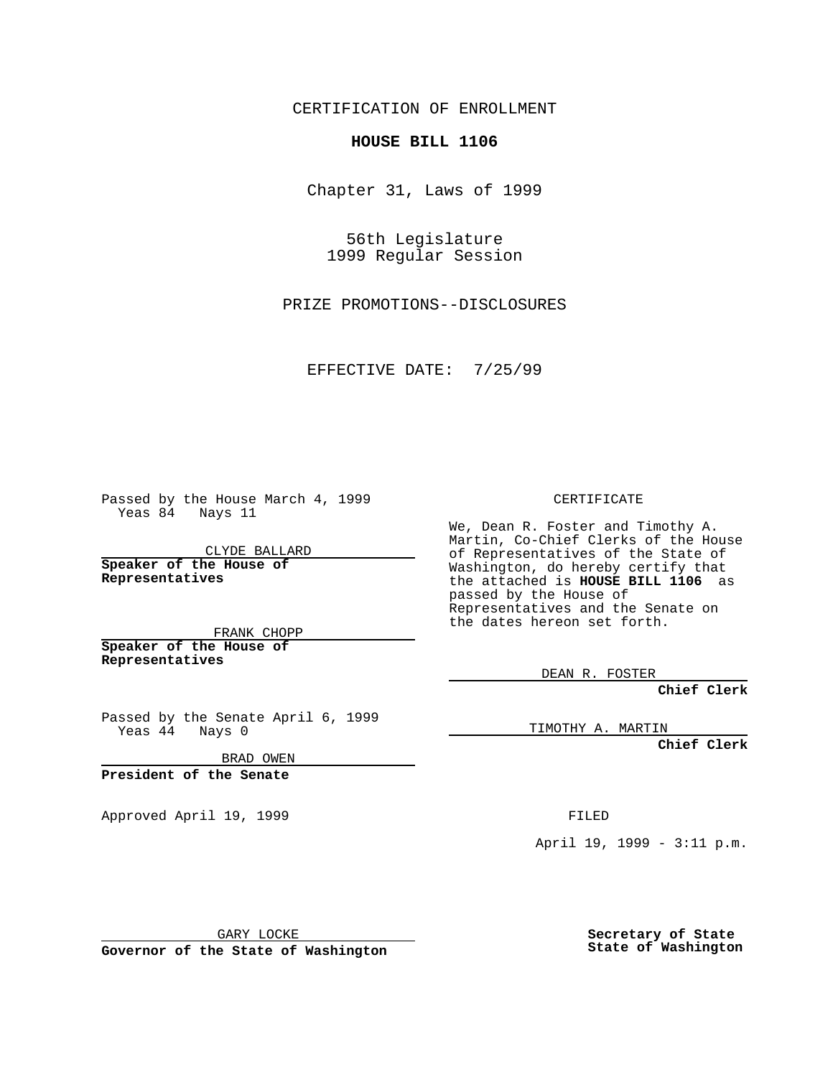CERTIFICATION OF ENROLLMENT

## **HOUSE BILL 1106**

Chapter 31, Laws of 1999

56th Legislature 1999 Regular Session

PRIZE PROMOTIONS--DISCLOSURES

EFFECTIVE DATE: 7/25/99

Passed by the House March 4, 1999 Yeas 84 Nays 11

CLYDE BALLARD **Speaker of the House of Representatives**

FRANK CHOPP **Speaker of the House of**

**Representatives**

Passed by the Senate April 6, 1999 Yeas 44 Nays 0

BRAD OWEN

**President of the Senate**

Approved April 19, 1999 **FILED** 

CERTIFICATE

We, Dean R. Foster and Timothy A. Martin, Co-Chief Clerks of the House of Representatives of the State of Washington, do hereby certify that the attached is **HOUSE BILL 1106** as passed by the House of Representatives and the Senate on the dates hereon set forth.

DEAN R. FOSTER

**Chief Clerk**

TIMOTHY A. MARTIN

**Chief Clerk**

April 19, 1999 - 3:11 p.m.

GARY LOCKE

**Governor of the State of Washington**

**Secretary of State State of Washington**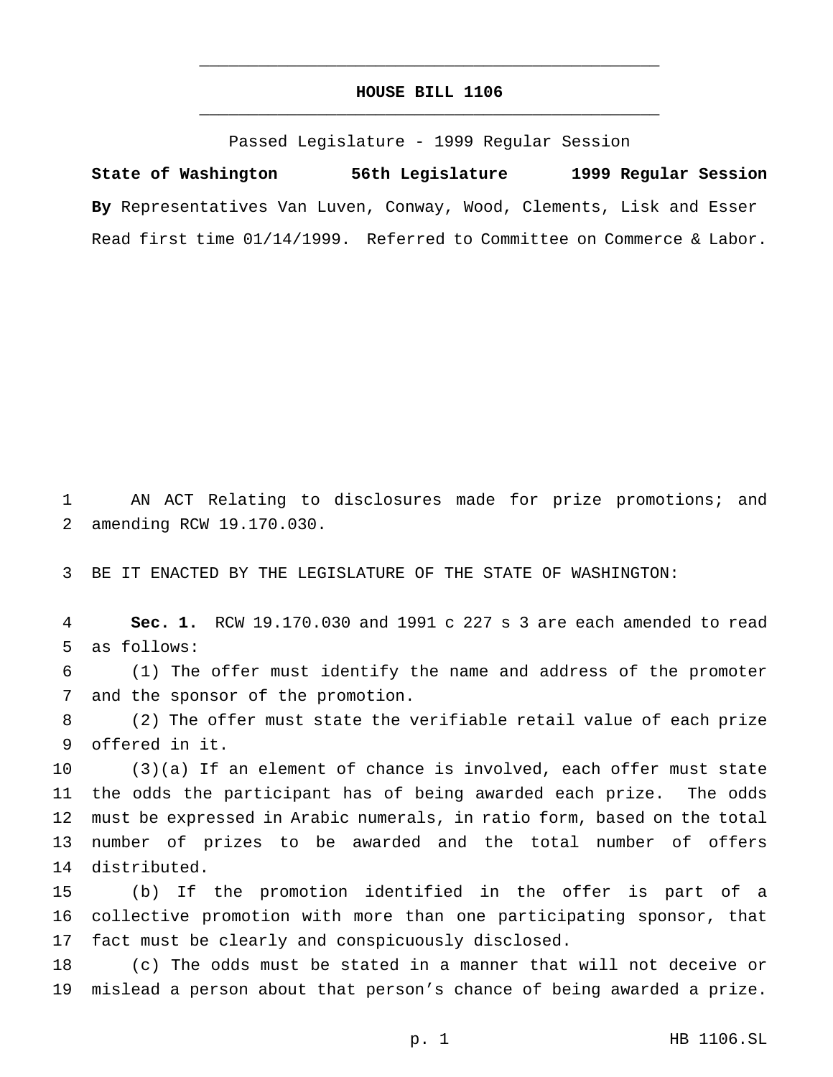## **HOUSE BILL 1106** \_\_\_\_\_\_\_\_\_\_\_\_\_\_\_\_\_\_\_\_\_\_\_\_\_\_\_\_\_\_\_\_\_\_\_\_\_\_\_\_\_\_\_\_\_\_\_

\_\_\_\_\_\_\_\_\_\_\_\_\_\_\_\_\_\_\_\_\_\_\_\_\_\_\_\_\_\_\_\_\_\_\_\_\_\_\_\_\_\_\_\_\_\_\_

Passed Legislature - 1999 Regular Session

**State of Washington 56th Legislature 1999 Regular Session By** Representatives Van Luven, Conway, Wood, Clements, Lisk and Esser Read first time 01/14/1999. Referred to Committee on Commerce & Labor.

 AN ACT Relating to disclosures made for prize promotions; and amending RCW 19.170.030.

BE IT ENACTED BY THE LEGISLATURE OF THE STATE OF WASHINGTON:

 **Sec. 1.** RCW 19.170.030 and 1991 c 227 s 3 are each amended to read as follows:

 (1) The offer must identify the name and address of the promoter and the sponsor of the promotion.

 (2) The offer must state the verifiable retail value of each prize offered in it.

 (3)(a) If an element of chance is involved, each offer must state the odds the participant has of being awarded each prize. The odds must be expressed in Arabic numerals, in ratio form, based on the total number of prizes to be awarded and the total number of offers distributed.

 (b) If the promotion identified in the offer is part of a collective promotion with more than one participating sponsor, that fact must be clearly and conspicuously disclosed.

 (c) The odds must be stated in a manner that will not deceive or mislead a person about that person's chance of being awarded a prize.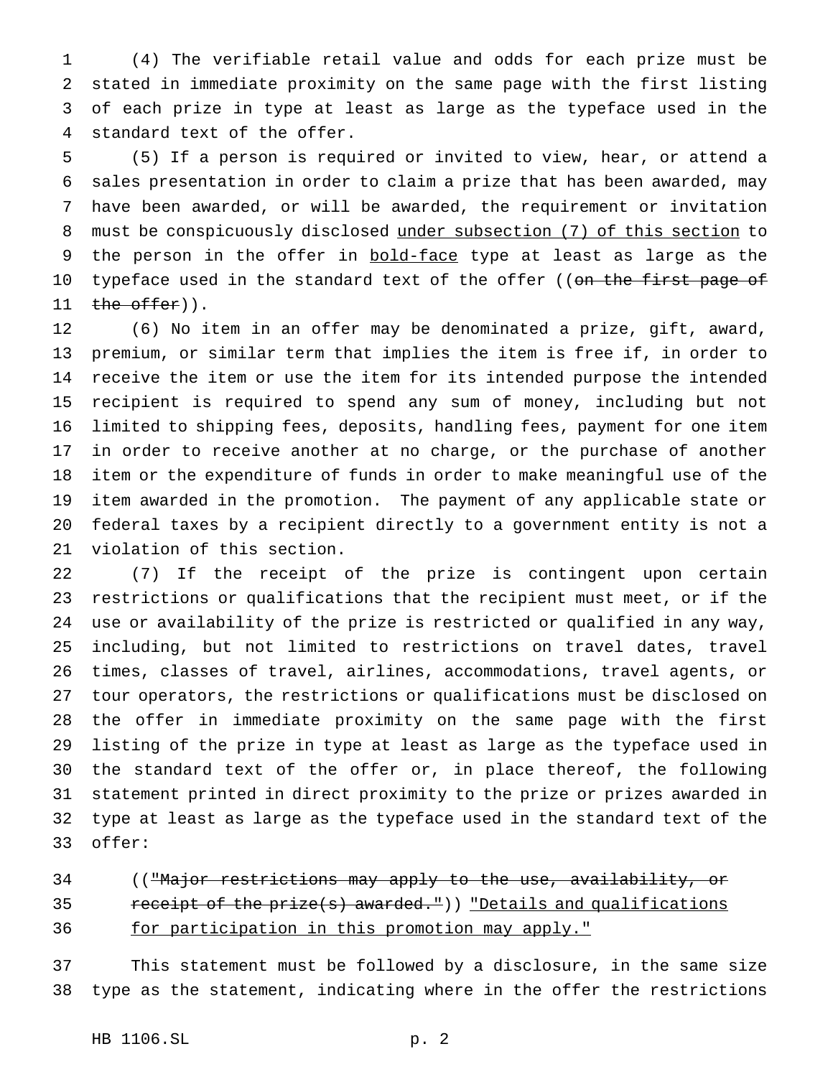(4) The verifiable retail value and odds for each prize must be stated in immediate proximity on the same page with the first listing of each prize in type at least as large as the typeface used in the standard text of the offer.

 (5) If a person is required or invited to view, hear, or attend a sales presentation in order to claim a prize that has been awarded, may have been awarded, or will be awarded, the requirement or invitation must be conspicuously disclosed under subsection (7) of this section to 9 the person in the offer in bold-face type at least as large as the 10 typeface used in the standard text of the offer ((on the first page of  $the$  offer)).

 (6) No item in an offer may be denominated a prize, gift, award, premium, or similar term that implies the item is free if, in order to receive the item or use the item for its intended purpose the intended recipient is required to spend any sum of money, including but not limited to shipping fees, deposits, handling fees, payment for one item in order to receive another at no charge, or the purchase of another item or the expenditure of funds in order to make meaningful use of the item awarded in the promotion. The payment of any applicable state or federal taxes by a recipient directly to a government entity is not a violation of this section.

 (7) If the receipt of the prize is contingent upon certain restrictions or qualifications that the recipient must meet, or if the use or availability of the prize is restricted or qualified in any way, including, but not limited to restrictions on travel dates, travel times, classes of travel, airlines, accommodations, travel agents, or tour operators, the restrictions or qualifications must be disclosed on the offer in immediate proximity on the same page with the first listing of the prize in type at least as large as the typeface used in the standard text of the offer or, in place thereof, the following statement printed in direct proximity to the prize or prizes awarded in type at least as large as the typeface used in the standard text of the offer:

34 (("Major restrictions may apply to the use, availability, or 35 receipt of the prize(s) awarded.")) "Details and qualifications for participation in this promotion may apply."

 This statement must be followed by a disclosure, in the same size type as the statement, indicating where in the offer the restrictions